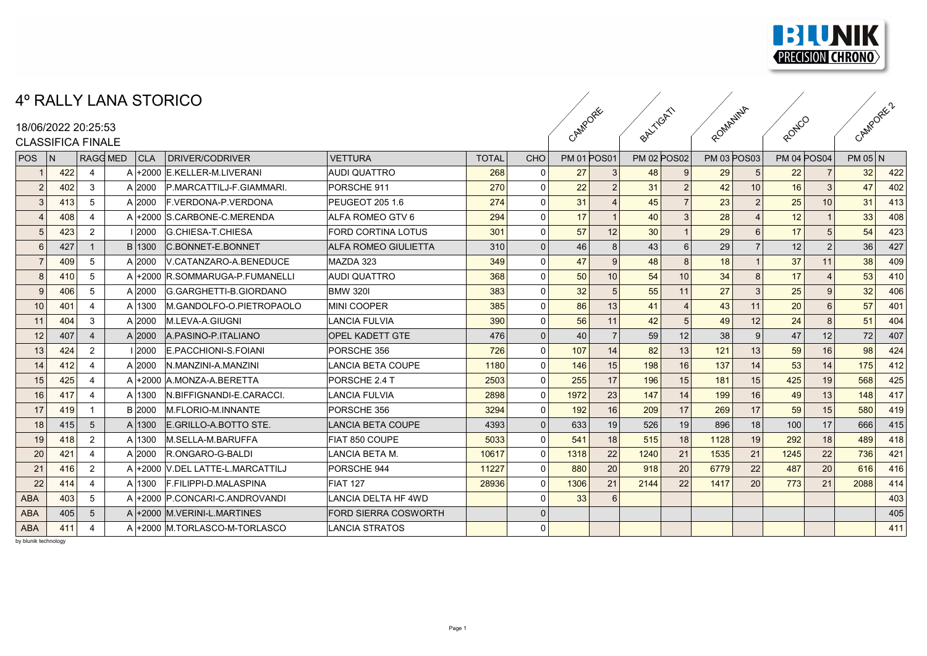

## 4º RALLY LANA STORICO

## 18/06/2022 20:25:53

| <b>CLASSIFICA FINALE</b> |
|--------------------------|
|--------------------------|

|                          |     |                 | T IVILLI LIIIVI OI UI IUU |                                  |                             |              |                |                    |                 |                    |                 |                    |                 |                    |                 |           |     |  |
|--------------------------|-----|-----------------|---------------------------|----------------------------------|-----------------------------|--------------|----------------|--------------------|-----------------|--------------------|-----------------|--------------------|-----------------|--------------------|-----------------|-----------|-----|--|
| 18/06/2022 20:25:53      |     |                 |                           |                                  |                             |              |                | CAMPORE            |                 | BALTIGATI          |                 | ROMANINA           |                 | RONICO             |                 | CAMPORE 2 |     |  |
| <b>CLASSIFICA FINALE</b> |     |                 |                           |                                  |                             |              |                |                    |                 |                    |                 |                    |                 |                    |                 |           |     |  |
| POS                      | N   | <b>RAGG MED</b> | CLA                       | DRIVER/CODRIVER                  | <b>VETTURA</b>              | <b>TOTAL</b> | CHO            | <b>PM 01 POS01</b> |                 | <b>PM 02 POS02</b> |                 | <b>PM 03 POS03</b> |                 | <b>PM 04 POS04</b> |                 | $PM$ 05 N |     |  |
|                          | 422 | 4               |                           | A +2000 E.KELLER-M.LIVERANI      | <b>AUDI QUATTRO</b>         | 268          |                | 27                 |                 | 48                 |                 | 29                 | $\mathbf b$     | 22                 |                 | 32        | 422 |  |
|                          | 402 | 3               | A 2000                    | P.MARCATTILJ-F.GIAMMARI.         | PORSCHE 911                 | 270          | $\Omega$       | 22                 |                 | 31                 | $\overline{2}$  | 42                 | 10 <sup>1</sup> | 16                 |                 | 47        | 402 |  |
|                          | 413 | 5               | A 2000                    | <b>F. VERDONA-P. VERDONA</b>     | PEUGEOT 205 1.6             | 274          | $\mathbf 0$    | 31                 |                 | 45                 | $\overline{7}$  | 23                 | 2               | 25                 | 10              | 31        | 413 |  |
|                          | 408 | 4               |                           | A +2000 S.CARBONE-C.MERENDA      | ALFA ROMEO GTV 6            | 294          | $\Omega$       | 17                 |                 | 40                 | 3               | 28                 |                 | 12                 |                 | 33        | 408 |  |
|                          | 423 | $\overline{2}$  | 2000                      | <b>G.CHIESA-T.CHIESA</b>         | <b>FORD CORTINA LOTUS</b>   | 301          | 0              | 57                 | 12              | 30                 |                 | 29                 | 6               | 17                 |                 | 54        | 423 |  |
|                          | 427 |                 | B 1300                    | C.BONNET-E.BONNET                | ALFA ROMEO GIULIETTA        | 310          | $\overline{0}$ | 46                 | 8               | 43                 | 6               | 29                 |                 | 12                 |                 | 36        | 427 |  |
|                          | 409 | 5               | A 2000                    | V.CATANZARO-A.BENEDUCE           | MAZDA 323                   | 349          | $\Omega$       | 47                 | 9               | 48                 | 8               | 18                 |                 | 37                 | 11              | 38        | 409 |  |
|                          | 410 | 5               | $A +2000$                 | R.SOMMARUGA-P.FUMANELLI          | <b>AUDI QUATTRO</b>         | 368          | $\Omega$       | 50                 | 10 <sup>1</sup> | 54                 | 10 <sup>1</sup> | 34                 | 8 <sup>1</sup>  | 17                 |                 | 53        | 410 |  |
|                          | 406 | 5               | A 2000                    | G.GARGHETTI-B.GIORDANO           | <b>BMW 3201</b>             | 383          | $\Omega$       | 32                 |                 | 55                 | 11              | 27                 | 3               | 25                 |                 | 32        | 406 |  |
| 10                       | 401 | 4               | A 1300                    | M.GANDOLFO-O.PIETROPAOLO         | <b>MINI COOPER</b>          | 385          | $\Omega$       | 86                 | 13              | 41                 | $\overline{4}$  | 43                 | 11              | 20                 |                 | 57        | 401 |  |
|                          | 404 | 3               | A 2000                    | M.LEVA-A.GIUGNI                  | LANCIA FULVIA               | 390          | $\Omega$       | 56                 | 11              | 42                 | 5               | 49                 | 12              | 24                 |                 | 51        | 404 |  |
| 12                       | 407 | $\overline{4}$  | A 2000                    | A.PASINO-P.ITALIANO              | <b>OPEL KADETT GTE</b>      | 476          | $\mathbf{0}$   | 40                 | $\overline{7}$  | 59                 | 12              | 38                 | 9               | 47                 | 12 <sup>1</sup> | 72        | 407 |  |
| 13                       | 424 | $\overline{2}$  | 12000                     | <b>E.PACCHIONI-S.FOIANI</b>      | PORSCHE 356                 | 726          | $\Omega$       | 107                | 14              | 82                 | 13              | 121                | 13              | 59                 | 16              | 98        | 424 |  |
|                          | 412 | 4               | A 2000                    | IN.MANZINI-A.MANZINI             | <b>LANCIA BETA COUPE</b>    | 1180         | $\Omega$       | 146                | 15              | 198                | 16              | 137                | 14              | 53                 | 14              | 175       | 412 |  |
|                          | 425 | 4               |                           | A +2000 A.MONZA-A.BERETTA        | PORSCHE 2.4 T               | 2503         | $\Omega$       | 255                | 17              | 196                | 15              | 181                | 15              | 425                | 19              | 568       | 425 |  |
|                          | 417 | $\overline{4}$  | A 1300                    | N.BIFFIGNANDI-E.CARACCI          | <b>LANCIA FULVIA</b>        | 2898         | $\mathbf 0$    | 1972               | 23              | 147                | 14              | 199                | 16              | 49                 | 13              | 148       | 417 |  |
| -17                      | 419 |                 | B 2000                    | M.FLORIO-M.INNANTE               | PORSCHE 356                 | 3294         | $\Omega$       | 192                | 16              | 209                | 17              | 269                | 17 <sup>1</sup> | 59                 | 15              | 580       | 419 |  |
| 18                       | 415 | 5               | A 1300                    | E.GRILLO-A.BOTTO STE.            | <b>LANCIA BETA COUPE</b>    | 4393         | $\overline{0}$ | 633                | 19              | 526                | 19              | 896                | 18 <sup>1</sup> | 100                | 17              | 666       | 415 |  |
|                          | 418 | 2               | A 1300                    | M.SELLA-M.BARUFFA                | FIAT 850 COUPE              | 5033         | $\mathbf 0$    | 541                | 18              | 515                | 18              | 1128               | 19              | 292                | 18              | 489       | 418 |  |
| 20                       | 421 | 4               | A 2000                    | R.ONGARO-G-BALDI                 | LANCIA BETA M.              | 10617        | $\mathbf 0$    | 1318               | 22              | 1240               | 21              | 1535               | 21              | 1245               | 22              | 736       | 421 |  |
| 21                       | 416 | $\overline{2}$  |                           | A +2000 V.DEL LATTE-L.MARCATTILJ | PORSCHE 944                 | 11227        | $\Omega$       | 880                | 20              | 918                | 20              | 6779               | 22              | 487                | 20              | 616       | 416 |  |
| 22                       | 414 | $\overline{4}$  |                           | A 1300 F.FILIPPI-D.MALASPINA     | FIAT 127                    | 28936        | $\Omega$       | 1306               | 21              | 2144               | 22              | 1417               | 20              | 773                | 21              | 2088      | 414 |  |
| <b>ABA</b>               | 403 | 5               |                           | A +2000 P.CONCARI-C.ANDROVANDI   | <b>LANCIA DELTA HF 4WD</b>  |              | $\Omega$       | 33                 |                 |                    |                 |                    |                 |                    |                 |           | 403 |  |
| <b>ABA</b>               | 405 | $5\phantom{.0}$ |                           | A +2000 M.VERINI-L.MARTINES      | <b>FORD SIERRA COSWORTH</b> |              | $\Omega$       |                    |                 |                    |                 |                    |                 |                    |                 |           | 405 |  |
| <b>ABA</b>               | 411 | $\overline{4}$  |                           | A +2000 M.TORLASCO-M-TORLASCO    | LANCIA STRATOS              |              | $\Omega$       |                    |                 |                    |                 |                    |                 |                    |                 |           | 411 |  |
|                          |     |                 |                           |                                  |                             |              |                |                    |                 |                    |                 |                    |                 |                    |                 |           |     |  |

by blunik technology